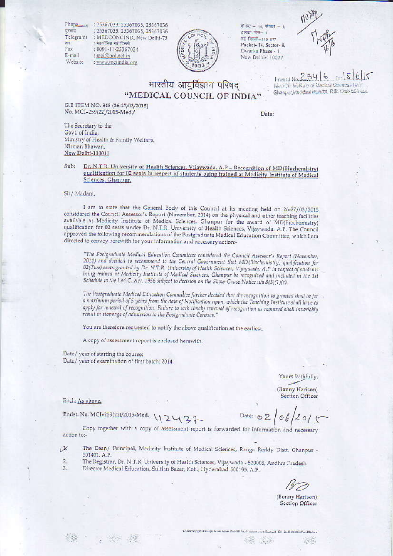Phone -दूरनाम Telegrams तार Fax E-mail Website

: 25367033, 25367035, 25367036 : 25367033, 25367035, 25367036 : MEDCONCIND, New Delhi-75 : मेडकॉलिंड नई दिल्ली : 0091-11-25367024 : mei@bol.net.in : www.mciindia.org



पॉक्टेट - 14, सेक्टर - 8, द्वारका फंस- 1 मई दिल्ली-110 077 Pocket-14, Sector-8, Dwarka Phase - 1 New Delhi-110077

भारतीय आयुर्विज्ञान परिषद "MEDICAL COUNCIL OF INDIA"

Invested No. 234  $\sqrt{2}$ Medicin Institute of Medical Sciences (M) Ghanpot Medished Membal, R.R. Olut-501 401

G.B ITEM NO. 848 (26-27/03/2015) No. MCI-259(22)/2015-Med./

Date:

The Secretary to the Govt. of India, Ministry of Health & Family Welfare, Nirman Bhawan, New Delhi-110011

Dr. N.T.R. University of Health Sciences, Vijaywada, A.P - Recognition of MD(Biochemistry) Sub: qualification for 02 seats in respect of students being trained at Medicity Institute of Medical Sciences, Ghanpur.

## Sir/ Madam,

I am to state that the General Body of this Council at its meeting held on 26-27/03/2015 considered the Council Assessor's Report (November, 2014) on the physical and other teaching facilities available at Medicity Institute of Medical Sciences, Ghanpur for the award of MD(Biochemistry) qualification for 02 seats under Dr. N.T.R. University of Health Sciences, Vijaywada. A.P. The Council approved the following recommendations of the Postgraduate Medical Education Committee, which I am directed to convey herewith for your information and necessary action:-

"The Postgraduate Medical Education Committee considered the Council Assessor's Report (November, 2014) and decided to recommend to the Central Government that MD(Biochemistry) qualification for 02(Two) seats granted by Dr. N.T.R. University of Health Sciences, Vijaywada. A.P in respect of students being trained at Medicity Institute of Medical Sciences, Ghanpur be recognized and included in the 1st Schedule to the I.M.C. Act, 1956 subject to decision on the Show-Cause Notice u/s 8(3)(1)(c).

The Postgraduate Medical Education Committee further decided that the recognition so granted shall be for a maximum period of 5 years from the date of Notification upon, which the Teaching Institute shall have to apply for renewal of recognition. Failure to seek timely renewal of recognition as required shall invariably result in stoppage of admission to the Postgraduate Courses."

You are therefore requested to notify the above qualification at the earliest.

A copy of assessment report is enclosed herewith.

Date/ year of starting the course: Date/ year of examination of first batch: 2014

Yours faithfully,

(Bonny Harison) **Section Officer** 

Encl.: As above.

Endst. No. MCI-259(22)/2015-Med.  $12437$ 

Date: 62

Copy together with a copy of assessment report is forwarded for information and necessary action to:-

- The Dean/ Principal, Medicity Institute of Medical Sciences, Ranga Reddy Distt. Ghanpur -X 501401, A.P.
- The Registrar, Dr. N.T.R. University of Health Sciences, Vijaywada 520008, Andhra Pradesh.  $\overline{2}$
- $\overline{a}$ Director Medical Education, Sultlan Bazar, Koti., Hyderabad-500195. A.P.

(Bonny Harison) Section Officer

38

**Section**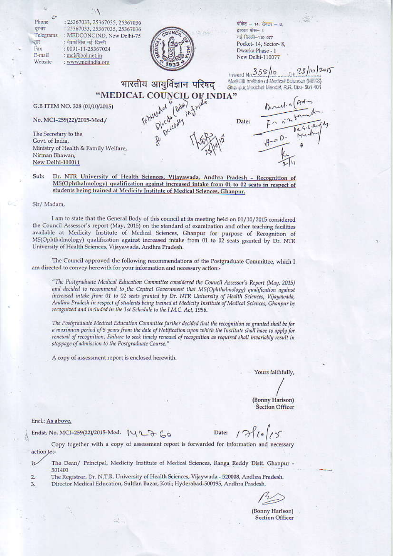| Phone<br>दरमाय                                                          | : 25367033, 25367035, 25367036                                                                                                                                           |                           |                   | पॉकेट - 14, सेक्टर - 8,                       |  |
|-------------------------------------------------------------------------|--------------------------------------------------------------------------------------------------------------------------------------------------------------------------|---------------------------|-------------------|-----------------------------------------------|--|
| Telegrams                                                               | : 25367033, 25367035, 25367036<br>: MEDCONCIND, New Delhi-75                                                                                                             |                           | प्रारका फेस- 1    |                                               |  |
| : मेडकॉसिंड नई दिल्ली<br>भ्रार<br>Fax<br>: 0091-11-25367024             |                                                                                                                                                                          |                           | नई दिल्ली-110 077 |                                               |  |
|                                                                         |                                                                                                                                                                          |                           |                   | Pocket-14, Sector-8,                          |  |
| E-mail                                                                  |                                                                                                                                                                          |                           |                   | Dwarka Phase - 1                              |  |
| Website                                                                 | : mcj@bol.net.in                                                                                                                                                         |                           |                   | New Delhi-110077                              |  |
|                                                                         | : www.mciindia.org                                                                                                                                                       |                           |                   |                                               |  |
|                                                                         |                                                                                                                                                                          |                           |                   | Inward No 358/10 11 28/10/2015                |  |
|                                                                         |                                                                                                                                                                          |                           |                   | Modifill hethate of Medical Sciences (MilliS) |  |
|                                                                         |                                                                                                                                                                          | भारतीय आयुर्विज्ञान परिषद |                   | Ghaspur, Medicial Masdal, R.R. Dist- 501 401  |  |
|                                                                         |                                                                                                                                                                          |                           |                   |                                               |  |
|                                                                         |                                                                                                                                                                          |                           |                   |                                               |  |
| The Binds of the Country of the Theory<br>G.B ITEM NO. 328 (01/10/2015) |                                                                                                                                                                          |                           |                   |                                               |  |
|                                                                         |                                                                                                                                                                          |                           |                   |                                               |  |
| No. MCI-259(22)/2015-Med./                                              |                                                                                                                                                                          |                           | Date:             | Anul 1 (Art)                                  |  |
|                                                                         |                                                                                                                                                                          |                           |                   |                                               |  |
| The Secretary to the                                                    |                                                                                                                                                                          |                           |                   |                                               |  |
| Govt. of India,                                                         |                                                                                                                                                                          |                           |                   |                                               |  |
|                                                                         | Ministry of Health & Family Welfare,                                                                                                                                     |                           |                   |                                               |  |
| Nirman Bhawan,                                                          |                                                                                                                                                                          |                           |                   |                                               |  |
| New Delhi-110011                                                        |                                                                                                                                                                          |                           |                   |                                               |  |
|                                                                         |                                                                                                                                                                          |                           |                   |                                               |  |
| Sub:                                                                    |                                                                                                                                                                          |                           |                   |                                               |  |
|                                                                         | Dr. NTR University of Health Sciences, Vijayawada, Andhra Pradesh - Recognition of                                                                                       |                           |                   |                                               |  |
|                                                                         | MS(Ophthalmology) qualification against increased intake from 01 to 02 seats in respect of<br>students being trained at Medicity Institute of Medical Sciences, Ghanpur. |                           |                   |                                               |  |
|                                                                         |                                                                                                                                                                          |                           |                   |                                               |  |
|                                                                         |                                                                                                                                                                          |                           |                   |                                               |  |
| Sir/ Madam,                                                             |                                                                                                                                                                          |                           |                   |                                               |  |

I am to state that the General Body of this council at its meeting held on 01/10/2015 considered the Council Assessor's report (May, 2015) on the standard of examination and other teaching facilities available at Medicity Institute of Medical Sciences, Ghanpur for purpose of Recognition of MS(Ophthalmology) qualification against increased intake from 01 to 02 seats granted by Dr. NTR University of Health Sciences, Vijayawada, Andhra Pradesh.

The Council approved the following recommendations of the Postgraduate Committee, which I am directed to convey herewith for your information and necessary action:-

"The Postgraduate Medical Education Committee considered the Council Assessor's Report (May, 2015) and decided to recommend to the Central Government that MS(Ophthalmology) qualification against increased intake from 01 to 02 seats granted by Dr. NTR University of Health Sciences, Vijayawada, Andhra Pradesh in respect of students being trained at Medicity Institute of Medical Sciences, Ghanpur be recognized and included in the 1st Schedule to the I.M.C. Act, 1956.

The Postgraduate Medical Education Committee further decided that the recognition so granted shall be for a maximum period of 5 years from the date of Notification upon which the Institute shall have to apply for renewal of recognition. Failure to seek timely renewal of recognition as required shall invariably result in stoppage of admission to the Postgraduate Course."

A copy of assessment report is enclosed herewith.

Yours faithfully,

(Bonny Harison) **Section Officer** 

Encl.: As above.

Endst. No. MCI-259(22)/2015-Med. (427-60

Date:

Copy together with a copy of assessment report is forwarded for information and necessary action to:-

The Dean/ Principal, Medicity Institute of Medical Sciences, Ranga Reddy Distt. Ghanpur - $\mathbf{1}$ 501401

The Registrar, Dr. N.T.R. University of Health Sciences, Vijaywada - 520008, Andhra Pradesh.  $\overline{2}$ 

Director Medical Education, Sultlan Bazar, Koti.; Hyderabad-500195, Andhra Pradesh.  $3.$ 

(Bonny Harison) **Section Officer**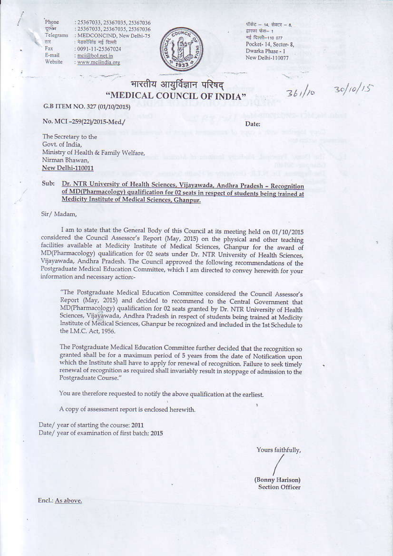Phone दूरस्था Telegrams तार Fax E-mail Website

: 25367033, 25367035, 25367036 : 25367033, 25367035, 25367036 : MEDCONCIND, New Delhi-75 : मेडकॉसिंड नई दिल्ली : 0091-11-25367024 : mci@bol.net.in : www.mciindia.org



पॉकेट - 14, सेक्टर - 8, द्वारका फैस- 1 नई दिल्ली-110 077 Pocket-14, Sector-8. Dwarka Phase - 1 New Delhi-110077

## भारतीय आयुर्विज्ञान परिषद "MEDICAL COUNCIL OF INDIA"

 $361/10$   $30/10/15$ 

G.B ITEM NO. 327 (01/10/2015)

No. MCI-259(22)/2015-Med./

Date:

The Secretary to the Govt. of India, Ministry of Health & Family Welfare, Nirman Bhawan, New Delhi-110011

## Dr. NTR University of Health Sciences, Vijayawada, Andhra Pradesh - Recognition Sub: of MD(Pharmacology) qualification for 02 seats in respect of students being trained at Medicity Institute of Medical Sciences, Ghanpur.

Sir/Madam,

I am to state that the General Body of this Council at its meeting held on 01/10/2015 considered the Council Assessor's Report (May, 2015) on the physical and other teaching facilities available at Medicity Institute of Medical Sciences, Ghanpur for the award of MD(Pharmacology) qualification for 02 seats under Dr. NTR University of Health Sciences, Vijayawada, Andhra Pradesh. The Council approved the following recommendations of the Postgraduate Medical Education Committee, which I am directed to convey herewith for your information and necessary action:-

"The Postgraduate Medical Education Committee considered the Council Assessor's Report (May, 2015) and decided to recommend to the Central Government that MD(Pharmacology) qualification for 02 seats granted by Dr. NTR University of Health Sciences, Vijayawada, Andhra Pradesh in respect of students being trained at Medicity Institute of Medical Sciences, Ghanpur be recognized and included in the 1st Schedule to the I.M.C. Act, 1956.

The Postgraduate Medical Education Committee further decided that the recognition so granted shall be for a maximum period of 5 years from the date of Notification upon which the Institute shall have to apply for renewal of recognition. Failure to seek timely renewal of recognition as required shall invariably result in stoppage of admission to the Postgraduate Course."

You are therefore requested to notify the above qualification at the earliest.

A copy of assessment report is enclosed herewith.

Date/year of starting the course: 2011 Date/ year of examination of first batch: 2015

Yours faithfully,

(Bonny Harison) **Section Officer** 

Encl.: As above.